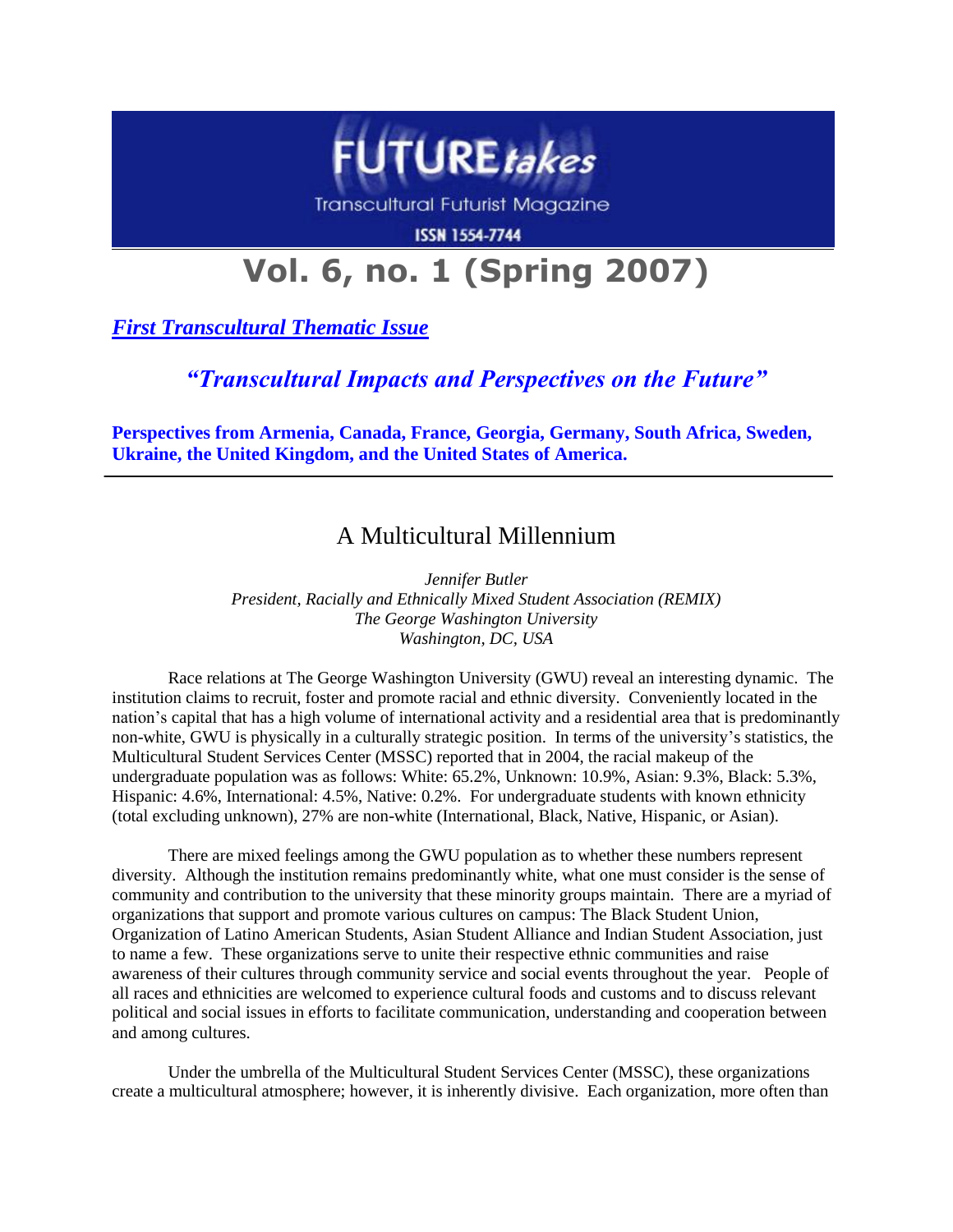

**Transcultural Futurist Magazine** 

**ISSN 1554-7744** 

# **Vol. 6, no. 1 (Spring 2007)**

*First Transcultural Thematic Issue*

## *"Transcultural Impacts and Perspectives on the Future"*

**Perspectives from Armenia, Canada, France, Georgia, Germany, South Africa, Sweden, Ukraine, the United Kingdom, and the United States of America.**

## A Multicultural Millennium

*Jennifer Butler President, Racially and Ethnically Mixed Student Association (REMIX) The George Washington University Washington, DC, USA*

Race relations at The George Washington University (GWU) reveal an interesting dynamic. The institution claims to recruit, foster and promote racial and ethnic diversity. Conveniently located in the nation's capital that has a high volume of international activity and a residential area that is predominantly non-white, GWU is physically in a culturally strategic position. In terms of the university's statistics, the Multicultural Student Services Center (MSSC) reported that in 2004, the racial makeup of the undergraduate population was as follows: White: 65.2%, Unknown: 10.9%, Asian: 9.3%, Black: 5.3%, Hispanic: 4.6%, International: 4.5%, Native: 0.2%. For undergraduate students with known ethnicity (total excluding unknown), 27% are non-white (International, Black, Native, Hispanic, or Asian).

There are mixed feelings among the GWU population as to whether these numbers represent diversity. Although the institution remains predominantly white, what one must consider is the sense of community and contribution to the university that these minority groups maintain. There are a myriad of organizations that support and promote various cultures on campus: The Black Student Union, Organization of Latino American Students, Asian Student Alliance and Indian Student Association, just to name a few. These organizations serve to unite their respective ethnic communities and raise awareness of their cultures through community service and social events throughout the year. People of all races and ethnicities are welcomed to experience cultural foods and customs and to discuss relevant political and social issues in efforts to facilitate communication, understanding and cooperation between and among cultures.

Under the umbrella of the Multicultural Student Services Center (MSSC), these organizations create a multicultural atmosphere; however, it is inherently divisive. Each organization, more often than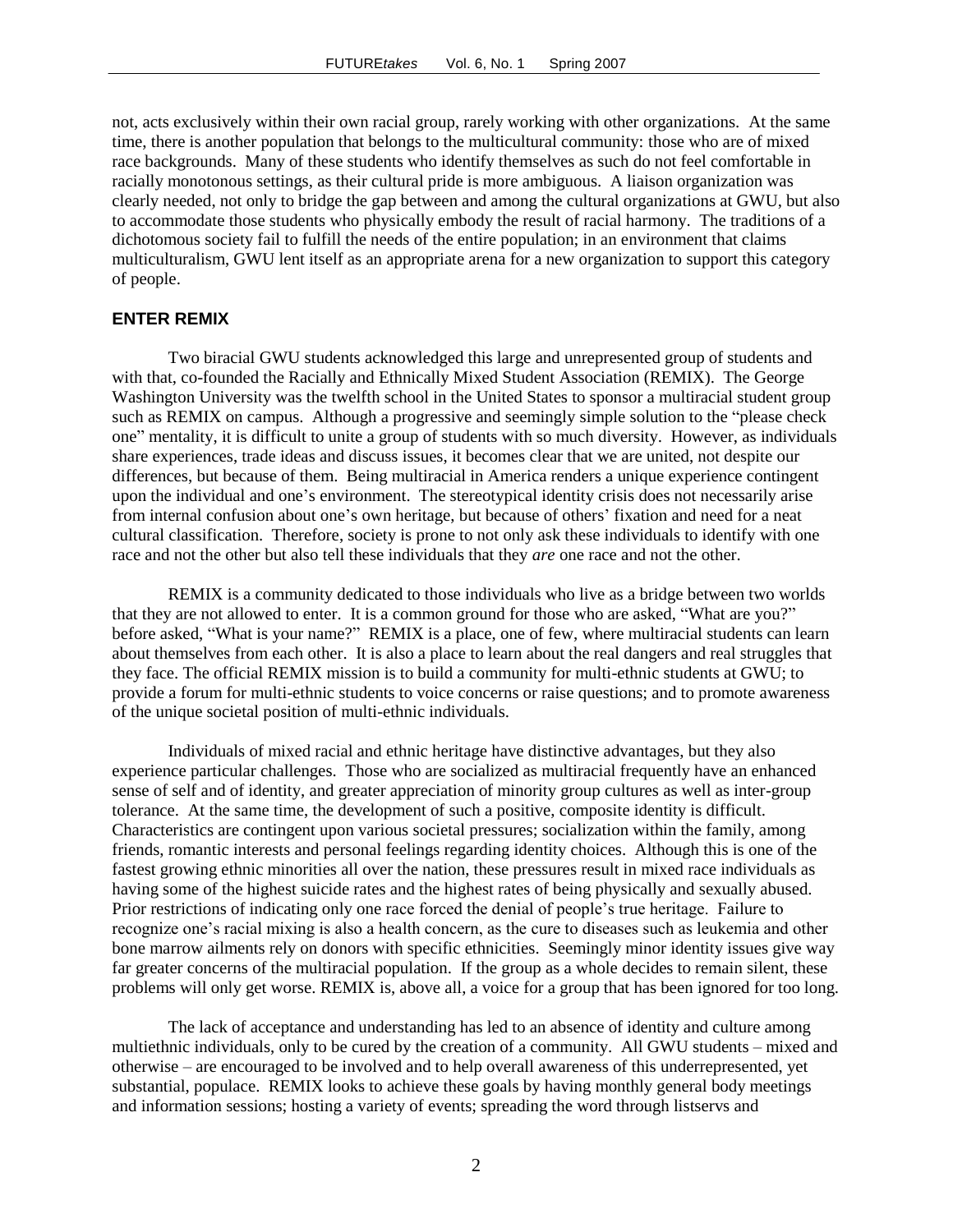not, acts exclusively within their own racial group, rarely working with other organizations. At the same time, there is another population that belongs to the multicultural community: those who are of mixed race backgrounds. Many of these students who identify themselves as such do not feel comfortable in racially monotonous settings, as their cultural pride is more ambiguous. A liaison organization was clearly needed, not only to bridge the gap between and among the cultural organizations at GWU, but also to accommodate those students who physically embody the result of racial harmony. The traditions of a dichotomous society fail to fulfill the needs of the entire population; in an environment that claims multiculturalism, GWU lent itself as an appropriate arena for a new organization to support this category of people.

### **ENTER REMIX**

Two biracial GWU students acknowledged this large and unrepresented group of students and with that, co-founded the Racially and Ethnically Mixed Student Association (REMIX). The George Washington University was the twelfth school in the United States to sponsor a multiracial student group such as REMIX on campus. Although a progressive and seemingly simple solution to the "please check one" mentality, it is difficult to unite a group of students with so much diversity. However, as individuals share experiences, trade ideas and discuss issues, it becomes clear that we are united, not despite our differences, but because of them. Being multiracial in America renders a unique experience contingent upon the individual and one's environment. The stereotypical identity crisis does not necessarily arise from internal confusion about one's own heritage, but because of others' fixation and need for a neat cultural classification. Therefore, society is prone to not only ask these individuals to identify with one race and not the other but also tell these individuals that they *are* one race and not the other.

REMIX is a community dedicated to those individuals who live as a bridge between two worlds that they are not allowed to enter. It is a common ground for those who are asked, "What are you?" before asked, "What is your name?" REMIX is a place, one of few, where multiracial students can learn about themselves from each other. It is also a place to learn about the real dangers and real struggles that they face. The official REMIX mission is to build a community for multi-ethnic students at GWU; to provide a forum for multi-ethnic students to voice concerns or raise questions; and to promote awareness of the unique societal position of multi-ethnic individuals.

Individuals of mixed racial and ethnic heritage have distinctive advantages, but they also experience particular challenges. Those who are socialized as multiracial frequently have an enhanced sense of self and of identity, and greater appreciation of minority group cultures as well as inter-group tolerance. At the same time, the development of such a positive, composite identity is difficult. Characteristics are contingent upon various societal pressures; socialization within the family, among friends, romantic interests and personal feelings regarding identity choices. Although this is one of the fastest growing ethnic minorities all over the nation, these pressures result in mixed race individuals as having some of the highest suicide rates and the highest rates of being physically and sexually abused. Prior restrictions of indicating only one race forced the denial of people's true heritage. Failure to recognize one's racial mixing is also a health concern, as the cure to diseases such as leukemia and other bone marrow ailments rely on donors with specific ethnicities. Seemingly minor identity issues give way far greater concerns of the multiracial population. If the group as a whole decides to remain silent, these problems will only get worse. REMIX is, above all, a voice for a group that has been ignored for too long.

The lack of acceptance and understanding has led to an absence of identity and culture among multiethnic individuals, only to be cured by the creation of a community. All GWU students – mixed and otherwise – are encouraged to be involved and to help overall awareness of this underrepresented, yet substantial, populace. REMIX looks to achieve these goals by having monthly general body meetings and information sessions; hosting a variety of events; spreading the word through listservs and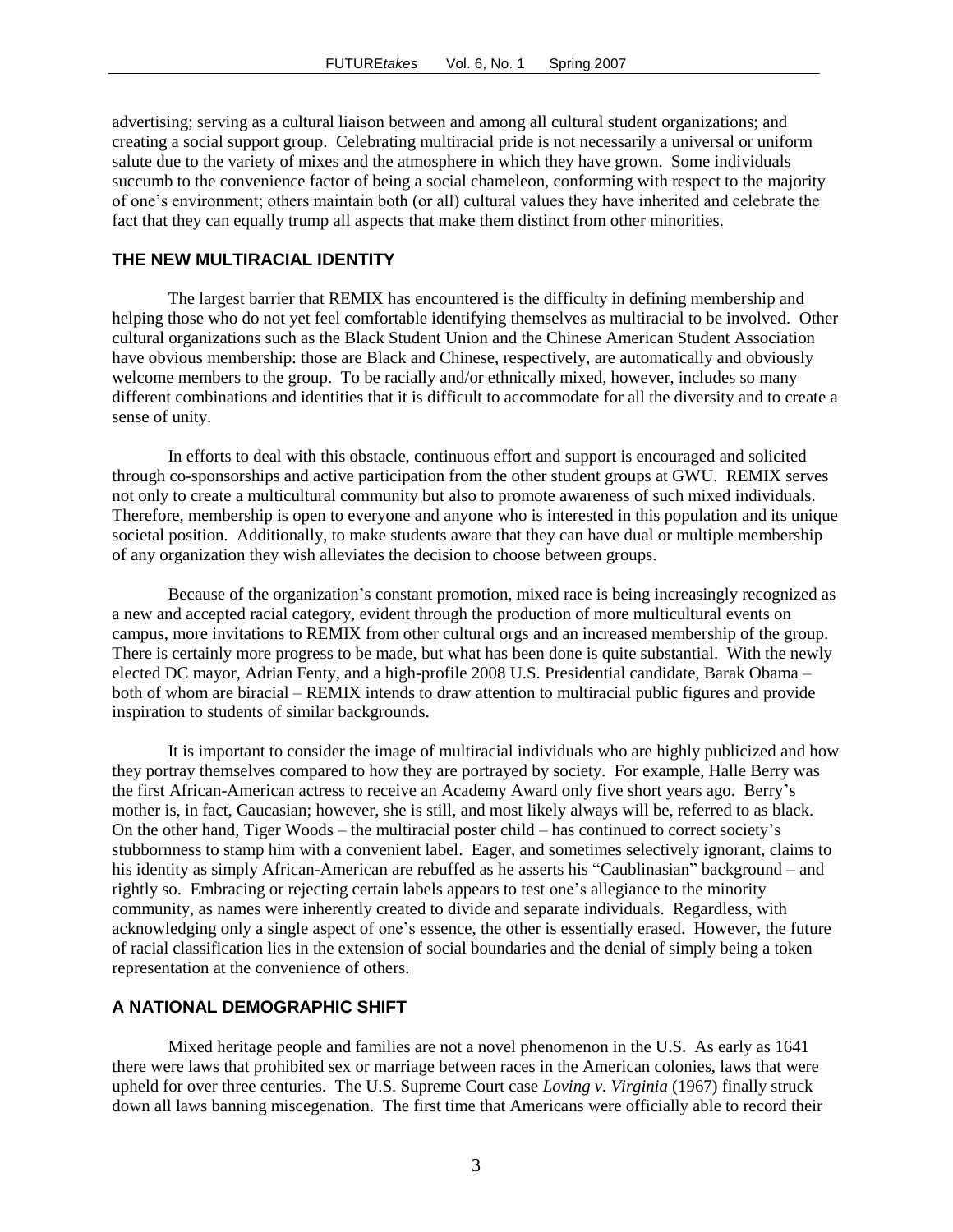advertising; serving as a cultural liaison between and among all cultural student organizations; and creating a social support group. Celebrating multiracial pride is not necessarily a universal or uniform salute due to the variety of mixes and the atmosphere in which they have grown. Some individuals succumb to the convenience factor of being a social chameleon, conforming with respect to the majority of one's environment; others maintain both (or all) cultural values they have inherited and celebrate the fact that they can equally trump all aspects that make them distinct from other minorities.

### **THE NEW MULTIRACIAL IDENTITY**

The largest barrier that REMIX has encountered is the difficulty in defining membership and helping those who do not yet feel comfortable identifying themselves as multiracial to be involved. Other cultural organizations such as the Black Student Union and the Chinese American Student Association have obvious membership: those are Black and Chinese, respectively, are automatically and obviously welcome members to the group. To be racially and/or ethnically mixed, however, includes so many different combinations and identities that it is difficult to accommodate for all the diversity and to create a sense of unity.

In efforts to deal with this obstacle, continuous effort and support is encouraged and solicited through co-sponsorships and active participation from the other student groups at GWU. REMIX serves not only to create a multicultural community but also to promote awareness of such mixed individuals. Therefore, membership is open to everyone and anyone who is interested in this population and its unique societal position. Additionally, to make students aware that they can have dual or multiple membership of any organization they wish alleviates the decision to choose between groups.

Because of the organization's constant promotion, mixed race is being increasingly recognized as a new and accepted racial category, evident through the production of more multicultural events on campus, more invitations to REMIX from other cultural orgs and an increased membership of the group. There is certainly more progress to be made, but what has been done is quite substantial. With the newly elected DC mayor, Adrian Fenty, and a high-profile 2008 U.S. Presidential candidate, Barak Obama – both of whom are biracial – REMIX intends to draw attention to multiracial public figures and provide inspiration to students of similar backgrounds.

It is important to consider the image of multiracial individuals who are highly publicized and how they portray themselves compared to how they are portrayed by society. For example, Halle Berry was the first African-American actress to receive an Academy Award only five short years ago. Berry's mother is, in fact, Caucasian; however, she is still, and most likely always will be, referred to as black. On the other hand, Tiger Woods – the multiracial poster child – has continued to correct society's stubbornness to stamp him with a convenient label. Eager, and sometimes selectively ignorant, claims to his identity as simply African-American are rebuffed as he asserts his "Caublinasian" background – and rightly so. Embracing or rejecting certain labels appears to test one's allegiance to the minority community, as names were inherently created to divide and separate individuals. Regardless, with acknowledging only a single aspect of one's essence, the other is essentially erased. However, the future of racial classification lies in the extension of social boundaries and the denial of simply being a token representation at the convenience of others.

#### **A NATIONAL DEMOGRAPHIC SHIFT**

Mixed heritage people and families are not a novel phenomenon in the U.S. As early as 1641 there were laws that prohibited sex or marriage between races in the American colonies, laws that were upheld for over three centuries. The U.S. Supreme Court case *Loving v. Virginia* (1967) finally struck down all laws banning miscegenation. The first time that Americans were officially able to record their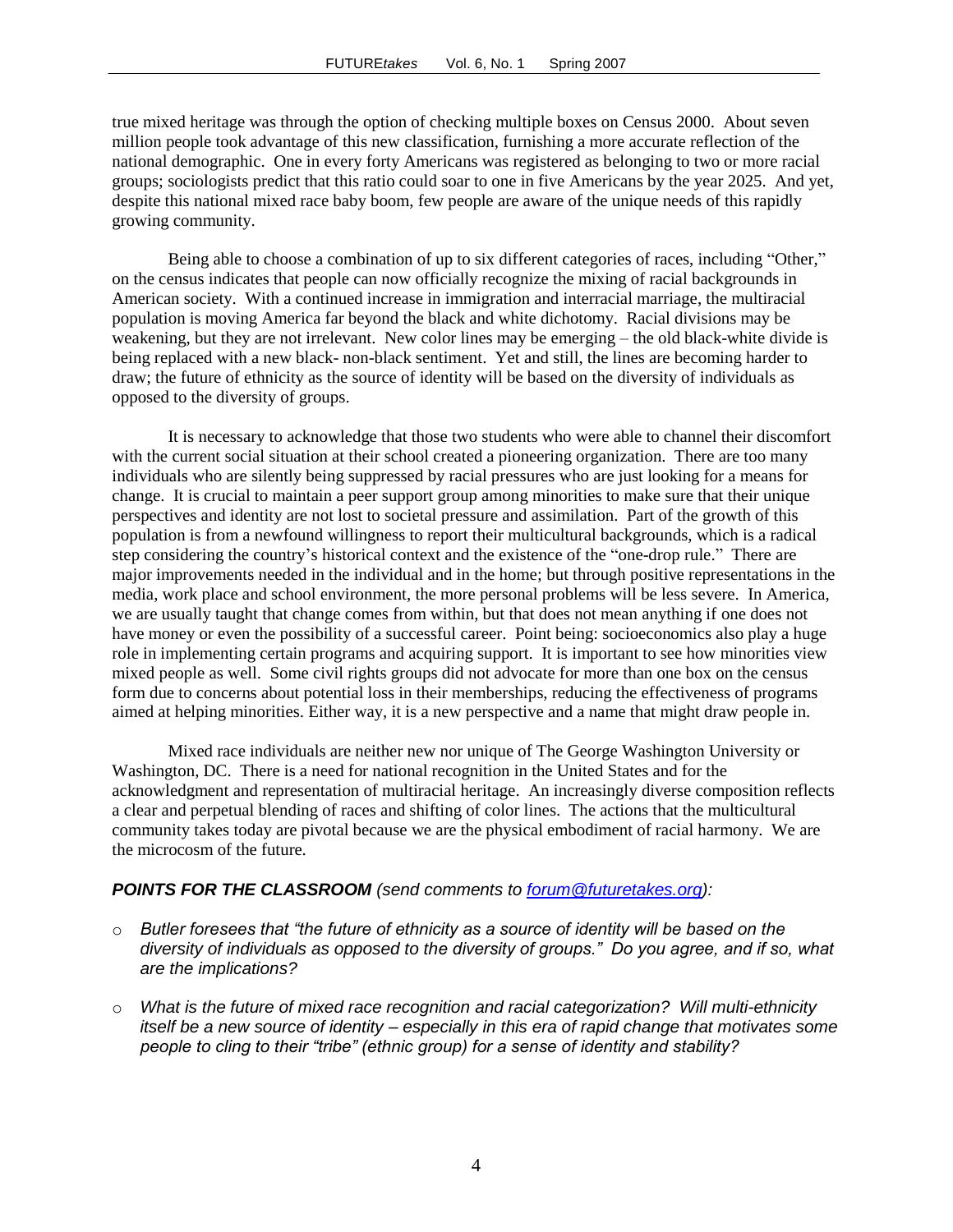true mixed heritage was through the option of checking multiple boxes on Census 2000. About seven million people took advantage of this new classification, furnishing a more accurate reflection of the national demographic. One in every forty Americans was registered as belonging to two or more racial groups; sociologists predict that this ratio could soar to one in five Americans by the year 2025. And yet, despite this national mixed race baby boom, few people are aware of the unique needs of this rapidly growing community.

Being able to choose a combination of up to six different categories of races, including "Other," on the census indicates that people can now officially recognize the mixing of racial backgrounds in American society. With a continued increase in immigration and interracial marriage, the multiracial population is moving America far beyond the black and white dichotomy. Racial divisions may be weakening, but they are not irrelevant. New color lines may be emerging – the old black-white divide is being replaced with a new black- non-black sentiment. Yet and still, the lines are becoming harder to draw; the future of ethnicity as the source of identity will be based on the diversity of individuals as opposed to the diversity of groups.

It is necessary to acknowledge that those two students who were able to channel their discomfort with the current social situation at their school created a pioneering organization. There are too many individuals who are silently being suppressed by racial pressures who are just looking for a means for change. It is crucial to maintain a peer support group among minorities to make sure that their unique perspectives and identity are not lost to societal pressure and assimilation. Part of the growth of this population is from a newfound willingness to report their multicultural backgrounds, which is a radical step considering the country's historical context and the existence of the "one-drop rule." There are major improvements needed in the individual and in the home; but through positive representations in the media, work place and school environment, the more personal problems will be less severe. In America, we are usually taught that change comes from within, but that does not mean anything if one does not have money or even the possibility of a successful career. Point being: socioeconomics also play a huge role in implementing certain programs and acquiring support. It is important to see how minorities view mixed people as well. Some civil rights groups did not advocate for more than one box on the census form due to concerns about potential loss in their memberships, reducing the effectiveness of programs aimed at helping minorities. Either way, it is a new perspective and a name that might draw people in.

Mixed race individuals are neither new nor unique of The George Washington University or Washington, DC. There is a need for national recognition in the United States and for the acknowledgment and representation of multiracial heritage. An increasingly diverse composition reflects a clear and perpetual blending of races and shifting of color lines. The actions that the multicultural community takes today are pivotal because we are the physical embodiment of racial harmony. We are the microcosm of the future.

### *POINTS FOR THE CLASSROOM (send comments to [forum@futuretakes.org\)](mailto:forum@futuretakes.org):*

- o *Butler foresees that "the future of ethnicity as a source of identity will be based on the diversity of individuals as opposed to the diversity of groups." Do you agree, and if so, what are the implications?*
- o *What is the future of mixed race recognition and racial categorization? Will multi-ethnicity itself be a new source of identity – especially in this era of rapid change that motivates some people to cling to their "tribe" (ethnic group) for a sense of identity and stability?*